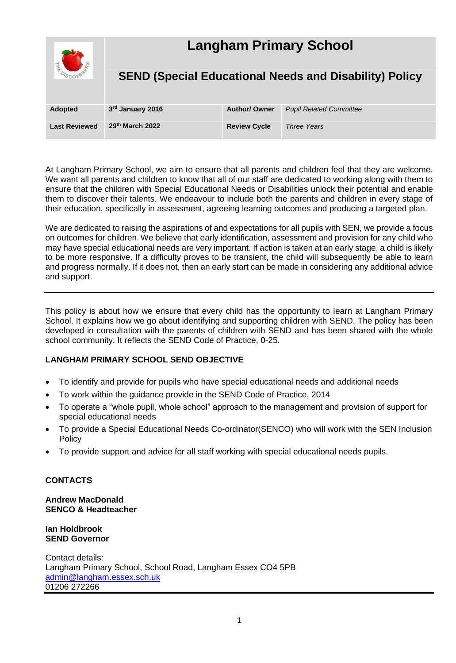

# **Langham Primary School**

## **SEND (Special Educational Needs and Disability) Policy**

| <b>Adopted</b>       | 3rd January 2016  | <b>Author/ Owner</b> | <b>Pupil Related Committee</b> |
|----------------------|-------------------|----------------------|--------------------------------|
| <b>Last Reviewed</b> | $29th$ March 2022 | <b>Review Cycle</b>  | <b>Three Years</b>             |

At Langham Primary School, we aim to ensure that all parents and children feel that they are welcome. We want all parents and children to know that all of our staff are dedicated to working along with them to ensure that the children with Special Educational Needs or Disabilities unlock their potential and enable them to discover their talents. We endeavour to include both the parents and children in every stage of their education, specifically in assessment, agreeing learning outcomes and producing a targeted plan.

We are dedicated to raising the aspirations of and expectations for all pupils with SEN, we provide a focus on outcomes for children. We believe that early identification, assessment and provision for any child who may have special educational needs are very important. If action is taken at an early stage, a child is likely to be more responsive. If a difficulty proves to be transient, the child will subsequently be able to learn and progress normally. If it does not, then an early start can be made in considering any additional advice and support.

This policy is about how we ensure that every child has the opportunity to learn at Langham Primary School. It explains how we go about identifying and supporting children with SEND. The policy has been developed in consultation with the parents of children with SEND and has been shared with the whole school community. It reflects the SEND Code of Practice, 0-25.

## **LANGHAM PRIMARY SCHOOL SEND OBJECTIVE**

- To identify and provide for pupils who have special educational needs and additional needs
- To work within the guidance provide in the SEND Code of Practice, 2014
- To operate a "whole pupil, whole school" approach to the management and provision of support for special educational needs
- To provide a Special Educational Needs Co-ordinator(SENCO) who will work with the SEN Inclusion Policy
- To provide support and advice for all staff working with special educational needs pupils.

## **CONTACTS**

**Andrew MacDonald SENCO & Headteacher**

**Ian Holdbrook SEND Governor**

Contact details: Langham Primary School, School Road, Langham Essex CO4 5PB [admin@langham.essex.sch.uk](mailto:admin@langham.essex.sch.uk) 01206 272266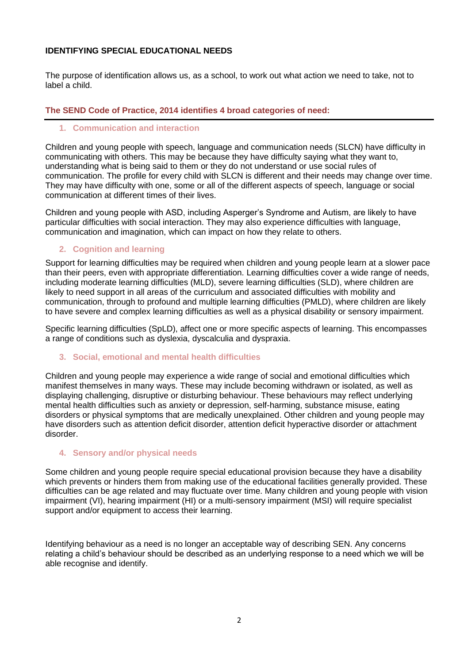## **IDENTIFYING SPECIAL EDUCATIONAL NEEDS**

The purpose of identification allows us, as a school, to work out what action we need to take, not to label a child.

## **The SEND Code of Practice, 2014 identifies 4 broad categories of need:**

#### **1. Communication and interaction**

Children and young people with speech, language and communication needs (SLCN) have difficulty in communicating with others. This may be because they have difficulty saying what they want to, understanding what is being said to them or they do not understand or use social rules of communication. The profile for every child with SLCN is different and their needs may change over time. They may have difficulty with one, some or all of the different aspects of speech, language or social communication at different times of their lives.

Children and young people with ASD, including Asperger's Syndrome and Autism, are likely to have particular difficulties with social interaction. They may also experience difficulties with language, communication and imagination, which can impact on how they relate to others.

## **2. Cognition and learning**

Support for learning difficulties may be required when children and young people learn at a slower pace than their peers, even with appropriate differentiation. Learning difficulties cover a wide range of needs, including moderate learning difficulties (MLD), severe learning difficulties (SLD), where children are likely to need support in all areas of the curriculum and associated difficulties with mobility and communication, through to profound and multiple learning difficulties (PMLD), where children are likely to have severe and complex learning difficulties as well as a physical disability or sensory impairment.

Specific learning difficulties (SpLD), affect one or more specific aspects of learning. This encompasses a range of conditions such as dyslexia, dyscalculia and dyspraxia.

#### **3. Social, emotional and mental health difficulties**

Children and young people may experience a wide range of social and emotional difficulties which manifest themselves in many ways. These may include becoming withdrawn or isolated, as well as displaying challenging, disruptive or disturbing behaviour. These behaviours may reflect underlying mental health difficulties such as anxiety or depression, self-harming, substance misuse, eating disorders or physical symptoms that are medically unexplained. Other children and young people may have disorders such as attention deficit disorder, attention deficit hyperactive disorder or attachment disorder.

#### **4. Sensory and/or physical needs**

Some children and young people require special educational provision because they have a disability which prevents or hinders them from making use of the educational facilities generally provided. These difficulties can be age related and may fluctuate over time. Many children and young people with vision impairment (VI), hearing impairment (HI) or a multi-sensory impairment (MSI) will require specialist support and/or equipment to access their learning.

Identifying behaviour as a need is no longer an acceptable way of describing SEN. Any concerns relating a child's behaviour should be described as an underlying response to a need which we will be able recognise and identify.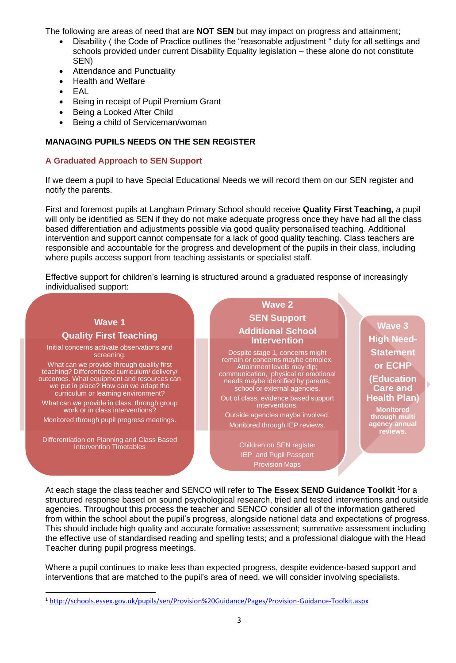The following are areas of need that are **NOT SEN** but may impact on progress and attainment;

- Disability ( the Code of Practice outlines the "reasonable adjustment " duty for all settings and schools provided under current Disability Equality legislation – these alone do not constitute SEN)
- Attendance and Punctuality
- Health and Welfare
- EAL
- Being in receipt of Pupil Premium Grant
- Being a Looked After Child
- Being a child of Serviceman/woman

## **MANAGING PUPILS NEEDS ON THE SEN REGISTER**

## **A Graduated Approach to SEN Support**

If we deem a pupil to have Special Educational Needs we will record them on our SEN register and notify the parents.

First and foremost pupils at Langham Primary School should receive **Quality First Teaching,** a pupil will only be identified as SEN if they do not make adequate progress once they have had all the class based differentiation and adjustments possible via good quality personalised teaching. Additional intervention and support cannot compensate for a lack of good quality teaching. Class teachers are responsible and accountable for the progress and development of the pupils in their class, including where pupils access support from teaching assistants or specialist staff.

Effective support for children's learning is structured around a graduated response of increasingly individualised support:



**Wave 3 High Need-Statement or ECHP (Education Care and Health Plan)**

**Monitored through multi agency annual reviews.**

At each stage the class teacher and SENCO will refer to The Essex SEND Guidance Toolkit <sup>1</sup>for a structured response based on sound psychological research, tried and tested interventions and outside agencies. Throughout this process the teacher and SENCO consider all of the information gathered from within the school about the pupil's progress, alongside national data and expectations of progress. This should include high quality and accurate formative assessment; summative assessment including the effective use of standardised reading and spelling tests; and a professional dialogue with the Head Teacher during pupil progress meetings.

Where a pupil continues to make less than expected progress, despite evidence-based support and interventions that are matched to the pupil's area of need, we will consider involving specialists.

<sup>1</sup> <http://schools.essex.gov.uk/pupils/sen/Provision%20Guidance/Pages/Provision-Guidance-Toolkit.aspx>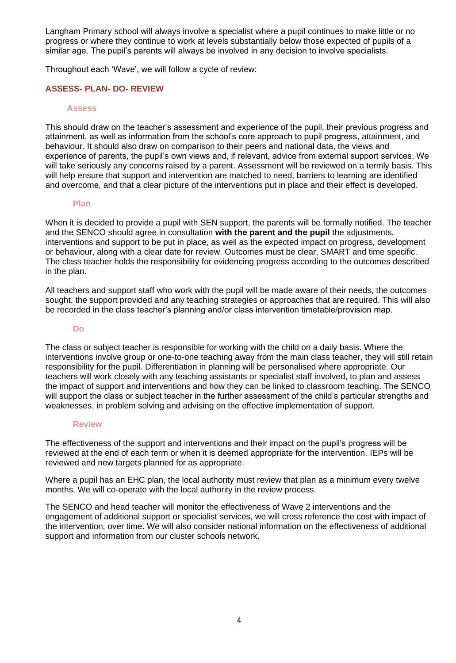Langham Primary school will always involve a specialist where a pupil continues to make little or no progress or where they continue to work at levels substantially below those expected of pupils of a similar age. The pupil's parents will always be involved in any decision to involve specialists.

Throughout each 'Wave', we will follow a cycle of review:

## **ASSESS- PLAN- DO- REVIEW**

#### **Assess**

This should draw on the teacher's assessment and experience of the pupil, their previous progress and attainment, as well as information from the school's core approach to pupil progress, attainment, and behaviour. It should also draw on comparison to their peers and national data, the views and experience of parents, the pupil's own views and, if relevant, advice from external support services. We will take seriously any concerns raised by a parent. Assessment will be reviewed on a termly basis. This will help ensure that support and intervention are matched to need, barriers to learning are identified and overcome, and that a clear picture of the interventions put in place and their effect is developed.

#### **Plan**

When it is decided to provide a pupil with SEN support, the parents will be formally notified. The teacher and the SENCO should agree in consultation **with the parent and the pupil** the adjustments, interventions and support to be put in place, as well as the expected impact on progress, development or behaviour, along with a clear date for review. Outcomes must be clear, SMART and time specific. The class teacher holds the responsibility for evidencing progress according to the outcomes described in the plan.

All teachers and support staff who work with the pupil will be made aware of their needs, the outcomes sought, the support provided and any teaching strategies or approaches that are required. This will also be recorded in the class teacher's planning and/or class intervention timetable/provision map.

#### **Do**

The class or subject teacher is responsible for working with the child on a daily basis. Where the interventions involve group or one-to-one teaching away from the main class teacher, they will still retain responsibility for the pupil. Differentiation in planning will be personalised where appropriate. Our teachers will work closely with any teaching assistants or specialist staff involved, to plan and assess the impact of support and interventions and how they can be linked to classroom teaching. The SENCO will support the class or subject teacher in the further assessment of the child's particular strengths and weaknesses, in problem solving and advising on the effective implementation of support.

#### **Review**

The effectiveness of the support and interventions and their impact on the pupil's progress will be reviewed at the end of each term or when it is deemed appropriate for the intervention. IEPs will be reviewed and new targets planned for as appropriate.

Where a pupil has an EHC plan, the local authority must review that plan as a minimum every twelve months. We will co-operate with the local authority in the review process.

The SENCO and head teacher will monitor the effectiveness of Wave 2 interventions and the engagement of additional support or specialist services, we will cross reference the cost with impact of the intervention, over time. We will also consider national information on the effectiveness of additional support and information from our cluster schools network.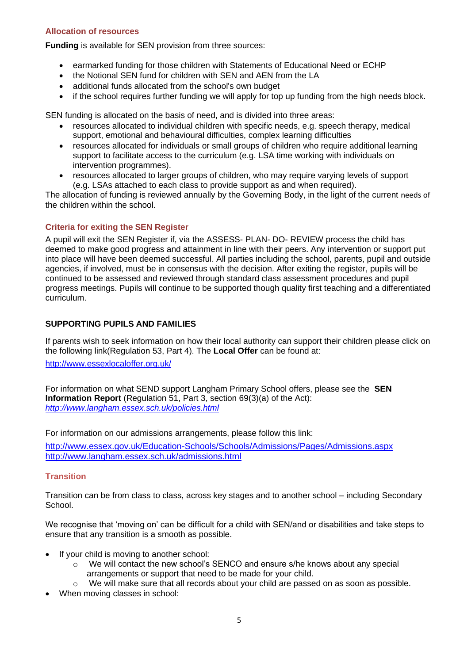## **Allocation of resources**

**Funding** is available for SEN provision from three sources:

- earmarked funding for those children with Statements of Educational Need or ECHP
- the Notional SEN fund for children with SEN and AEN from the LA
- additional funds allocated from the school's own budget
- if the school requires further funding we will apply for top up funding from the high needs block.

SEN funding is allocated on the basis of need, and is divided into three areas:

- resources allocated to individual children with specific needs, e.g. speech therapy, medical support, emotional and behavioural difficulties, complex learning difficulties
- resources allocated for individuals or small groups of children who require additional learning support to facilitate access to the curriculum (e.g. LSA time working with individuals on intervention programmes).
- resources allocated to larger groups of children, who may require varying levels of support (e.g. LSAs attached to each class to provide support as and when required).

The allocation of funding is reviewed annually by the Governing Body, in the light of the current needs of the children within the school.

## **Criteria for exiting the SEN Register**

A pupil will exit the SEN Register if, via the ASSESS- PLAN- DO- REVIEW process the child has deemed to make good progress and attainment in line with their peers. Any intervention or support put into place will have been deemed successful. All parties including the school, parents, pupil and outside agencies, if involved, must be in consensus with the decision. After exiting the register, pupils will be continued to be assessed and reviewed through standard class assessment procedures and pupil progress meetings. Pupils will continue to be supported though quality first teaching and a differentiated curriculum.

## **SUPPORTING PUPILS AND FAMILIES**

If parents wish to seek information on how their local authority can support their children please click on the following link(Regulation 53, Part 4). The **Local Offer** can be found at:

<http://www.essexlocaloffer.org.uk/>

For information on what SEND support Langham Primary School offers, please see the **SEN Information Report** (Regulation 51, Part 3, section 69(3)(a) of the Act): *<http://www.langham.essex.sch.uk/policies.html>*

For information on our admissions arrangements, please follow this link: <http://www.essex.gov.uk/Education-Schools/Schools/Admissions/Pages/Admissions.aspx> <http://www.langham.essex.sch.uk/admissions.html>

## **Transition**

Transition can be from class to class, across key stages and to another school – including Secondary School.

We recognise that 'moving on' can be difficult for a child with SEN/and or disabilities and take steps to ensure that any transition is a smooth as possible.

- If your child is moving to another school:
	- $\circ$  We will contact the new school's SENCO and ensure s/he knows about any special arrangements or support that need to be made for your child.
	- $\circ$  We will make sure that all records about your child are passed on as soon as possible.
- When moving classes in school: